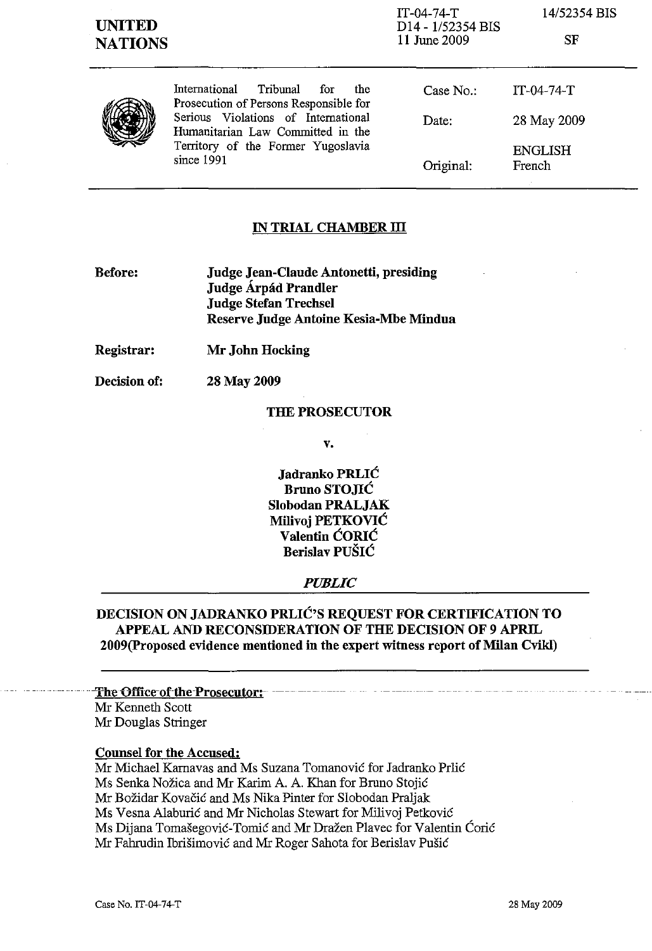| <b>UNITED</b><br><b>NATIONS</b> |                                                                                                                                                                                                                   | $IT-04-74-T$<br>D14 - 1/52354 BIS<br>11 June 2009 | 14/52354 BIS<br>SF       |
|---------------------------------|-------------------------------------------------------------------------------------------------------------------------------------------------------------------------------------------------------------------|---------------------------------------------------|--------------------------|
|                                 | International<br>Tribunal<br>for<br>the<br>Prosecution of Persons Responsible for<br>Serious Violations of International<br>Humanitarian Law Committed in the<br>Territory of the Former Yugoslavia<br>since 1991 | Case No.                                          | $IT-04-74-T$             |
|                                 |                                                                                                                                                                                                                   | Date:                                             | 28 May 2009              |
|                                 |                                                                                                                                                                                                                   | Original:                                         | <b>ENGLISH</b><br>French |

### **IN TRIAL CHAMBER ill**

- **Before: Judge Jean-Claude Antonetti, presiding Judge Árpád Prandler Judge Stefan Trechsel Reserve Judge Antoine Kesia-Mbe Mindua**
- **Registrar: Mr John Hocking**

**Decision of:**  28 May 2009

#### **THE PROSECUTOR**

**v.** 

**Jadranko PRLIĆ Bruno STOJIĆ Slobodan PRALJAK Milivoj PETKOVIC Valentin CORIC Berislav PUSIC** 

#### *PUBLIC*

## **DECISION ON JADRANKO PRLIC'S REQUEST FOR CERTIFICATION TO APPEAL AND RECONSIDERATION OF THE DECISION OF 9 APRIL 2009(Proposed evidence mentioned in the expert witness report of Milan Cvikl)**

# The Office of the Prosecutor:

Mr Kenneth Scott Mr Douglas Stringer

#### **Counsel for the Accused:**

Mr Michael Karnavas and Ms Suzana Tomanovic for Jadranko Prlic Ms Senka Nožica and Mr Karim A. A. Khan for Bruno Stojić Mr Bozidar Kovacic and Ms Nika Pinter for Slobodan Praljak Ms Vesna Alaburic and Mr Nicholas Stewart for Milivoj Petkovic Ms Dijana Tomasegovic-Tomic and Mr Drazen Plavec for Valentin Coric Mr Fahrudin Ibrisimovic and Mr Roger Sahota for Berislav Pusic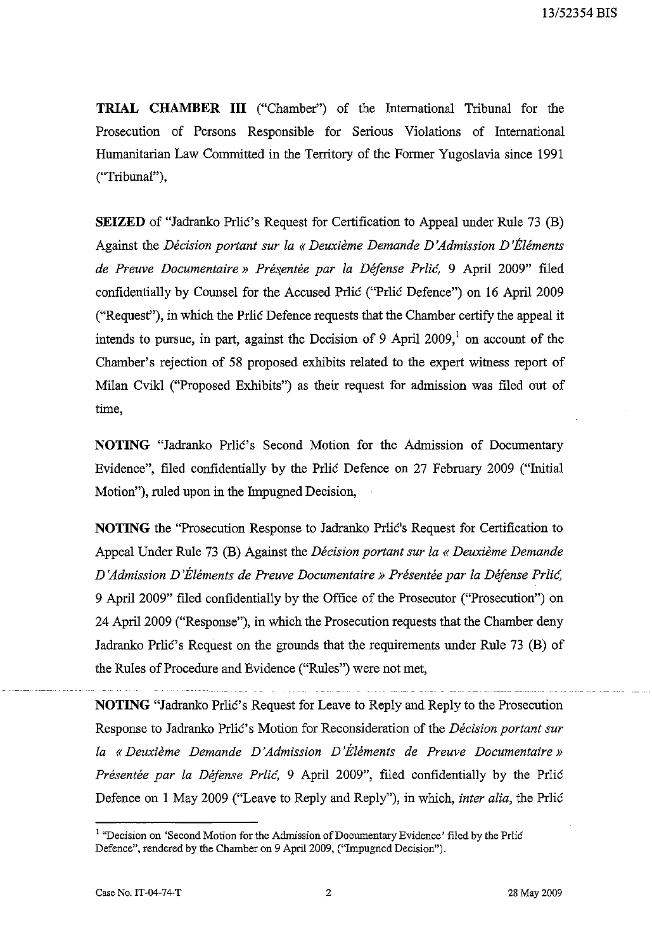**TRIAL CHAMBER III** ("Chamber") of the International Tribunal for the Prosecution of Persons Responsible for Serious Violations of International Humanitarian Law Committed in the Territory of the Former Yugoslavia since 1991 ("Tribunal"),

**SEIZED** of "Jadranko Prlic's Request for Certification to Appeal under Rule 73 (B) Against the *Décision portant sur la « Deuxième Demande D'Admission D'Éléments* de Preuve Documentaire » Présentée par la Défense Prlic, 9 April 2009" filed confidentially by Counsel for the Accused Prlic ("Prlic Defence") on 16 April 2009 ("Request"), in which the Prlic Defence requests that the Chamber certify the appeal it intends to pursue, in part, against the Decision of 9 April  $2009<sup>1</sup>$  on account of the Chamber's rejection of 58 proposed exhibits related to the expert witness report of Milan Cvikl ("Proposed Exhibits") as their request for admission was filed out of time,

**NOTING** "Jadranko Prlic's Second Motion for the Admission of Documentary Evidence", filed confidentially by the Prlic Defence on 27 February 2009 ("Initial Motion"), ruled upon in the Impugned Decision,

**NOTING** the "Prosecution Response to Jadranko Prlic's Request for Certification to Appeal Under Rule 73 (B) Against the *Decision portant sur la* « *Deuxieme Demande D 'Admission D 'Elements de Preuve Documentaire* » *Presentee par la Defense Prlic,*  9 April 2009" filed confidentially by the Office of the Prosecutor ("Prosecution") on 24 April 2009 ("Response"), in which the Prosecution requests that the Chamber deny Jadranko Prlić's Request on the grounds that the requirements under Rule 73 (B) of the Rules of Procedure and Evidence ("Rules") were not met,

**NOTING** "Jadranko Prlic's Request for Leave to Reply and Reply to the Prosecution Response to Jadranko Prlic's Motion for Reconsideration of the *Decision portant sur la* « *Deuxieme Demande D 'Admission D 'Elements de Preuve Documentaire» Presentee par la Defense Prlic,* 9 April 2009", filed confidentially by the Prlic Defence on 1 May 2009 ("Leave to Reply and Reply"), in which, *inter alia,* the Prlic

<sup>&</sup>lt;sup>1</sup> "Decision on 'Second Motion for the Admission of Documentary Evidence' filed by the Prlic Defence", rendered by the Chamber on 9 April 2009, ("Impugned Decision").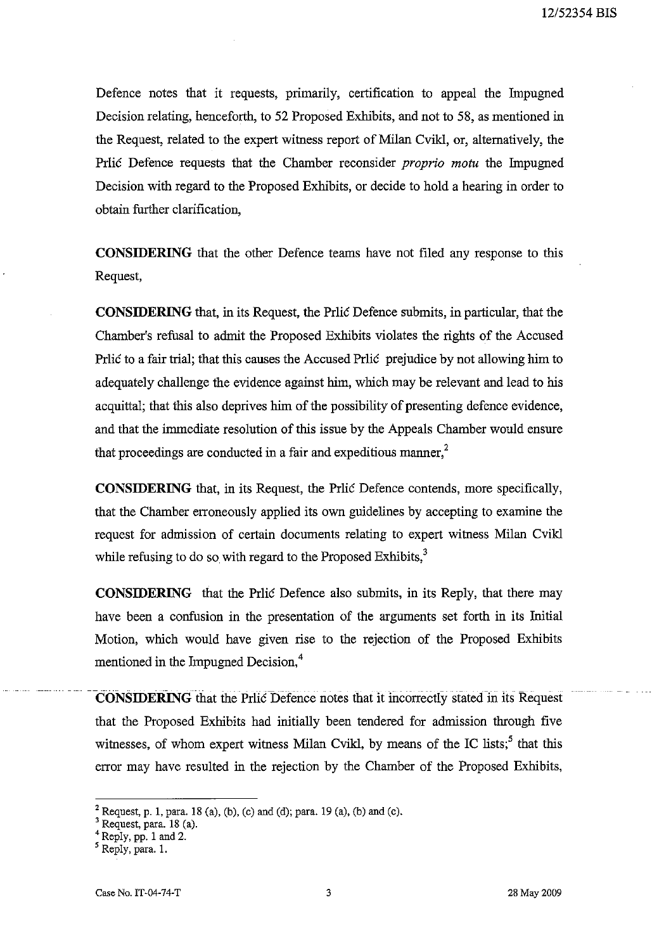Defence notes that it requests, primarily, certification to appeal the Impugned Decision relating, henceforth, to 52 Proposed Exhibits, and not to 58, as mentioned in the Request, related to the expert witness report of Milan Cvikl, or, alternatively, the Prlic Defence requests that the Chamber reconsider *proprio motu* the Impugned Decision with regard to the Proposed Exhibits, or decide to hold a hearing in order to obtain further clarification,

**CONSIDERING** that the other Defence teams have not filed any response to this Request,

**CONSIDERING** that, in its Request, the Prlic Defence submits, in particular, that the Chamber's refusal to admit the Proposed Exhibits violates the rights of the Accused Prlic to a fair trial; that this causes the Accused Prlic prejudice by not allowing him to adequately challenge the evidence against him, which may be relevant and lead to his acquittal; that this also deprives him of the possibility of presenting defence evidence, and that the immediate resolution of this issue by the Appeals Chamber would ensure that proceedings are conducted in a fair and expeditious manner, $<sup>2</sup>$ </sup>

**CONSIDERING** that, in its Request, the Prlic Defence contends, more specifically, that the Chamber erroneously applied its own guidelines by accepting to examine the request for admission of certain documents relating to expert witness Milan Cvikl while refusing to do so with regard to the Proposed Exhibits, $3<sup>3</sup>$ 

**CONSIDERING** that the Prlic Defence also submits, in its Reply, that there may have been a confusion in the presentation of the arguments set forth in its Initial Motion, which would have given rise to the rejection of the Proposed Exhibits mentioned in the Impugned Decision,<sup>4</sup>

**CONSIDERING** that the Prlic Defence notes that it incorrectly stated in its Request that the Proposed Exhibits had initially been tendered for admission through five witnesses, of whom expert witness Milan Cvikl, by means of the IC lists;<sup>5</sup> that this error may have resulted in the rejection by the Chamber of the Proposed Exhibits,

<sup>&</sup>lt;sup>2</sup> Request, p. 1, para. 18 (a), (b), (c) and (d); para. 19 (a), (b) and (c).

<sup>3</sup> Request, para. 18 (a).

 $4$  Reply, pp. 1 and 2.

 $<sup>5</sup>$  Reply, para. 1.</sup>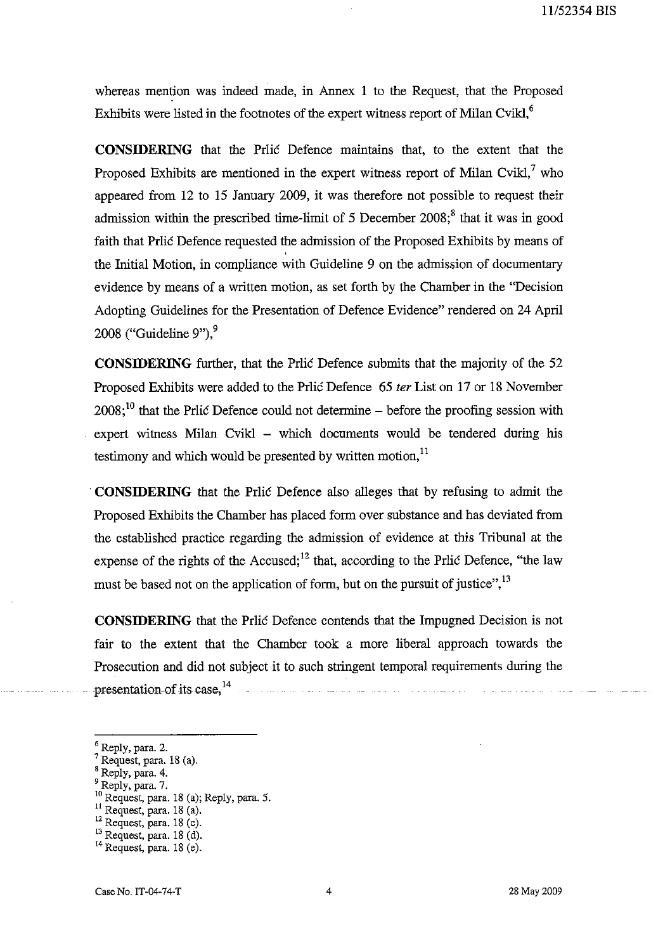whereas mention was indeed made, in Annex 1 to the Request, that the Proposed Exhibits were listed in the footnotes of the expert witness report of Milan Cvikl, $^6$ 

**CONSIDERING** that the Prlic Defence maintains that, to the extent that the Proposed Exhibits are mentioned in the expert witness report of Milan Cvikl, $^7$  who appeared from 12 to 15 January 2009, it was therefore not possible to request their admission within the prescribed time-limit of 5 December  $2008$ ;<sup>8</sup> that it was in good faith that Prlic Defence requested the admission of the Proposed Exhibits by means of the Initial Motion, in compliance with Guideline 9 on the admission of documentary evidence by means of a written motion, as set forth by the Chamber in the "Decision Adopting Guidelines for the Presentation of Defence Evidence" rendered on 24 April 2008 ("Guideline  $9$ "),  $9$ 

**CONSIDERING** further, that the Prilic Defence submits that the majority of the 52 Proposed Exhibits were added to the Priic Defence 65 ter List on 17 or 18 November  $2008$ ;<sup>10</sup> that the Prlic Defence could not determine – before the proofing session with expert witness Milan Cvikl – which documents would be tendered during his testimony and which would be presented by written motion, $<sup>11</sup>$ </sup>

**CONSIDERING** that the Prlic Defence also alleges that by refusing to admit the Proposed Exhibits the Chamber has placed form over substance and has deviated from the established practice regarding the admission of evidence at this Tribunal at the expense of the rights of the Accused; $^{12}$  that, according to the Priic Defence, "the law must be based not on the application of form, but on the pursuit of justice",<sup>13</sup>

**CONSIDERING** that the Prlic Defence contends that the Impugned Decision is not fair to the extent that the Chamber took a more liberal approach towards the Prosecution and did not subject it to such stringent temporal requirements during the presentation-of-its case,  $14$ 

<sup>&</sup>lt;sup>6</sup> Reply, para. 2.

 $<sup>7</sup>$  Request, para. 18 (a).</sup>

<sup>8</sup> Reply, para. 4.

<sup>9</sup> Reply, para. 7.

<sup>&</sup>lt;sup>10</sup> Request, para. 18 (a); Reply, para. 5.

<sup>&</sup>lt;sup>11</sup> Request, para. 18 (a).

 $12$  Request, para. 18 (c).

 $13$  Request, para. 18 (d).

 $14$  Request, para. 18 (e).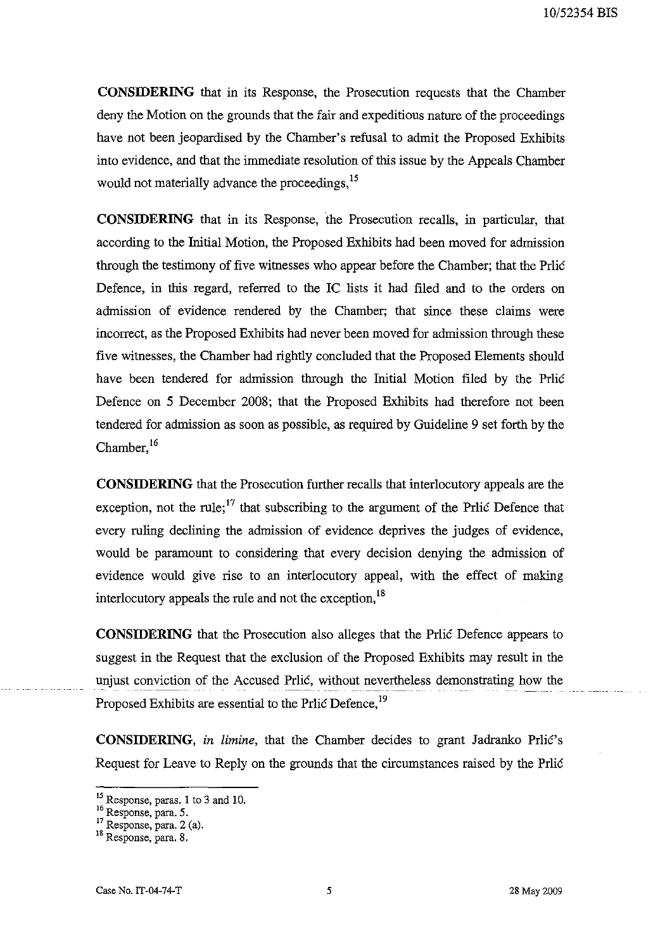**CONSIDERING** that in its Response, the Prosecution requests that the Chamber deny the Motion on the grounds that the fair and expeditious nature of the proceedings have not been jeopardised by the Chamber's refusal to admit the Proposed Exhibits into evidence, and that the immediate resolution of this issue by the Appeals Chamber would not materially advance the proceedings,<sup>15</sup>

**CONSIDERING** that in its Response, 'the Prosecution recalls, in particular, that according to the Initial Motion, the Proposed Exhibits had been moved for admission through the testimony of five witnesses who appear before the Chamber; that the Prlić Defence, in this regard, referred to the IC lists it had filed and to the orders on admission of evidence rendered by the Chamber; that since these claims were incorrect, as the Proposed Exhibits had never been moved for admission through these five witnesses, the Chamber had rightly concluded that the Proposed Elements should have been tendered for admission through the Initial Motion filed by the Prlić Defence on 5 December 2008; that the Proposed Exhibits had therefore not been tendered for admission as soon as possible, as required by Guideline 9 set forth by the Chamber, $16$ 

**CONSIDERING** that the Prosecution further recalls that interlocutory appeals are the exception, not the rule;<sup>17</sup> that subscribing to the argument of the Prlic Defence that every ruling declining the admission of evidence deprives the judges of evidence, would be paramount to considering that every decision denying the admission of evidence would give rise to an interlocutory appeal, with the effect of making interlocutory appeals the rule and not the exception,<sup>18</sup>

**CONSIDERING** that the Prosecution also alleges that the Prlic Defence appears to suggest in the Request that the exclusion of the Proposed Exhibits may result in the unjust conviction of the Accused Prlić, without nevertheless demonstrating how the Proposed Exhibits are essential to the Prlic Defence,<sup>19</sup>

**CONSIDERING,** in limine, that the Chamber decides to grant Jadranko Prlić's Request for Leave to Reply on the grounds that the circumstances raised by the Prlic

<sup>&</sup>lt;sup>15</sup> Response, paras. 1 to 3 and 10.

<sup>&</sup>lt;sup>16</sup> Response, para. 5.

 $17$  Response, para. 2 (a).

<sup>&</sup>lt;sup>18</sup> Response, para. 8.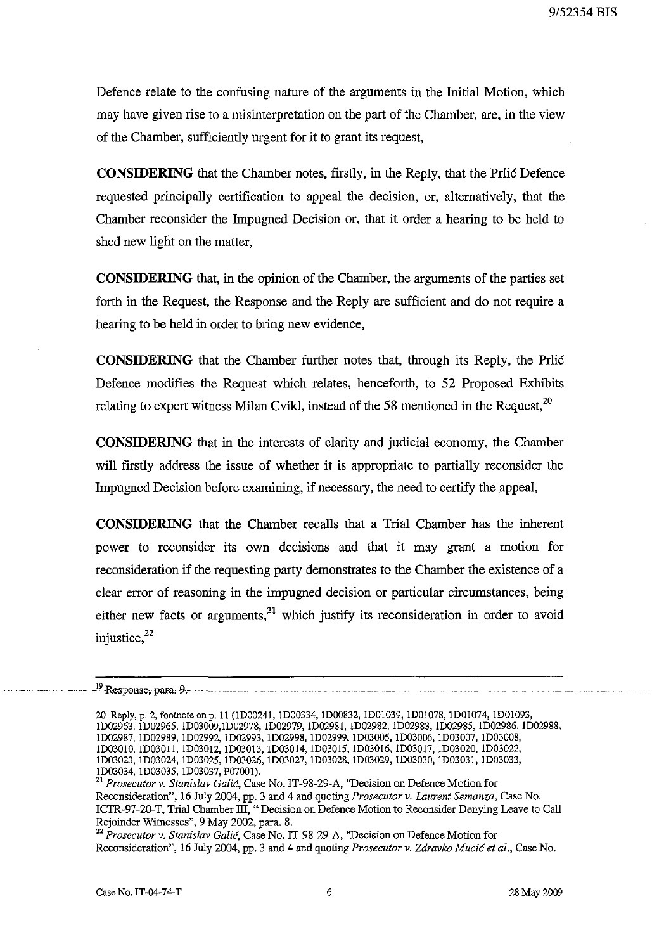Defence relate to the confusing nature of the arguments in the Initial Motion, which may have given rise to a misinterpretation on the part of the Chamber, are, in the view of the Chamber, sufficiently urgent for it to grant its request,

**CONSIDERING** that the Chamber notes, firstly, in the Reply, that the Prlic Defence requested principally certification to appeal the decision, or, alternatively, that the Chamber reconsider the Impugned Decision or, that it order a hearing to be held to shed new light on the matter,

**CONSIDERING** that, in the opinion of the Chamber, the arguments of the parties set forth in the Request, the Response and the Reply are sufficient and do not require a hearing to be held in order to bring new evidence,

**CONSIDERING** that the Chamber further notes that, through its Reply, the Prlic Defence modifies the Request which relates, henceforth, to 52 Proposed Exhibits relating to expert witness Milan Cvikl, instead of the 58 mentioned in the Request, $^{20}$ 

**CONSIDERING** that in the interests of clarity and judicial economy, the Chamber will firstly address the issue of whether it is appropriate to partially reconsider the Impugned Decision before examining, if necessary, the need to certify the appeal,

**CONSIDERING** that the Chamber recalls that a Trial Chamber has the inherent power to reconsider its own decisions and that it may grant a motion for reconsideration if the requesting party demonstrates to the Chamber the existence of a clear error of reasoning in the impugned decision or particular circumstances, being either new facts or arguments, $21$  which justify its reconsideration in order to avoid injustice, $^{22}$ 

<sup>&</sup>lt;sup>19</sup> Response, para. 9.

<sup>20</sup> Reply, p. 2, footnote on p. II (lD00241, lD00334, lD00832, lDOlO39, lDOlO78, lDOlO74, lD01093, lD02963, lD02965, lD03009,lD02978, lD02979, lD02981, lD02982, lD02983, lD02985, lD02986, lD02988, lD02987, lD02989, lD02992, lD02993, lD02998, lD02999, lD03005, lD03006, lD03007, lD03008, lD0301O, lD03011, lD03012, lD03013, lD03014, lD03015, lD03016, lD03017, lD03020, lD03022, lD03023, lD03024, lD03025, lD03026, lD03027, lD03028, lD03029, lD03030, lD03031, lD03033, lD03034, lD03035, lD03037, P07001).

<sup>21</sup>*Prosecutor* v. *Stanislav Galic,* Case No. IT-98-29-A, ''Decision on Defence Motion for Reconsideration", 16 July 2004, pp. 3 and 4 and quoting *Prosecutor* v. *Laurent Semanza,* Case No. ICTR-97-20-T, Trial Chamber III, "Decision on Defence Motion to Reconsider Denying Leave to Call Rejoinder Witnesses", 9 May 2002, para. 8.

*<sup>22</sup> Prosecutor* v. *Stanislav Galic,* Case No. IT-98-29-A, "Decision on Defence Motion for Reconsideration", 16 July 2004, pp. 3 and 4 and quoting *Prosecutor* v. *Zdravko Mucic et al.,* Case No.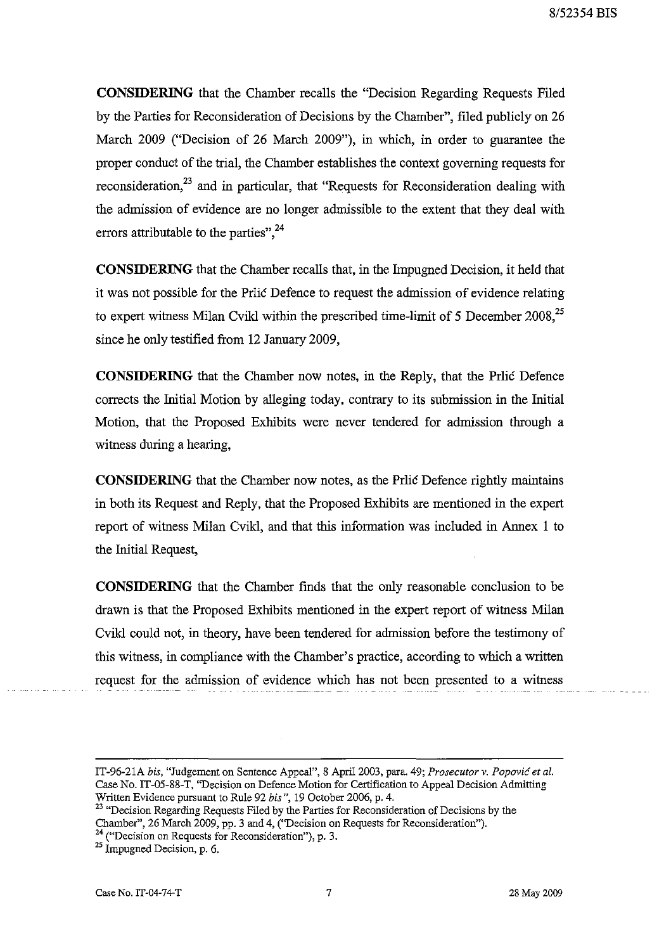**CONSIDERING** that the Chamber recalls the "Decision Regarding Requests Filed by the Parties for Reconsideration of Decisions by the Chamber", filed publicly on 26 March 2009 ("Decision of 26 March 2009"), in which, in order to guarantee the proper conduct of the trial, the Chamber establishes the context governing requests for reconsideration.<sup>23</sup> and in particular, that "Requests for Reconsideration dealing with the admission of evidence are no longer admissible to the extent that they deal with errors attributable to the parties",  $24$ 

**CONSIDERING** that the Chamber recalls that, in the Impugned Decision, it held that it was not possible for the Prlic Defence to request the admission of evidence relating to expert witness Milan Cvikl within the prescribed time-limit of 5 December 2008,<sup>25</sup> since he only testified from 12 January 2009,

**CONSIDERING** that the Chamber now notes, in the Reply, that the Prlic Defence corrects the Initial Motion by alleging today, contrary to its submission in the Initial Motion, that the Proposed Exhibits were never tendered for admission through a witness during a hearing,

**CONSIDERING** that the Chamber now notes, as the Prlic Defence rightly maintains in both its Request and Reply, that the Proposed Exhibits are mentioned in the expert report of witness Milan Cvikl, and that this information was included in Annex 1 to the Initial Request,

**CONSIDERING** that the Chamber finds that the only reasonable conclusion to be drawn is that the Proposed Exhibits mentioned in the expert report of witness Milan Cvikl could not, in theory, have been tendered for admission before the testimony of this witness, in compliance with the Chamber's practice, according to which a written request for the admission of evidence which has not been presented to a witness

IT-96-21A *bis*, "Judgement on Sentence Appeal", 8 April 2003, para. 49; *Prosecutor v. Popović et al.* Case No. IT-05-88-T, ''Decision on Defence Motion for Certification to Appeal Decision Admitting Written Evidence pursuant to Rule 92 *his* ", 19 October 2006, p. 4.

<sup>&</sup>lt;sup>23</sup> "Decision Regarding Requests Filed by the Parties for Reconsideration of Decisions by the Chamber", 26 March 2009, pp. 3 and 4, ("Decision on Requests for Reconsideration").

**<sup>24 (&</sup>quot;Decision on Requests for Reconsideration"), p. 3.** 

 $^{25}$  Impugned Decision, p. 6.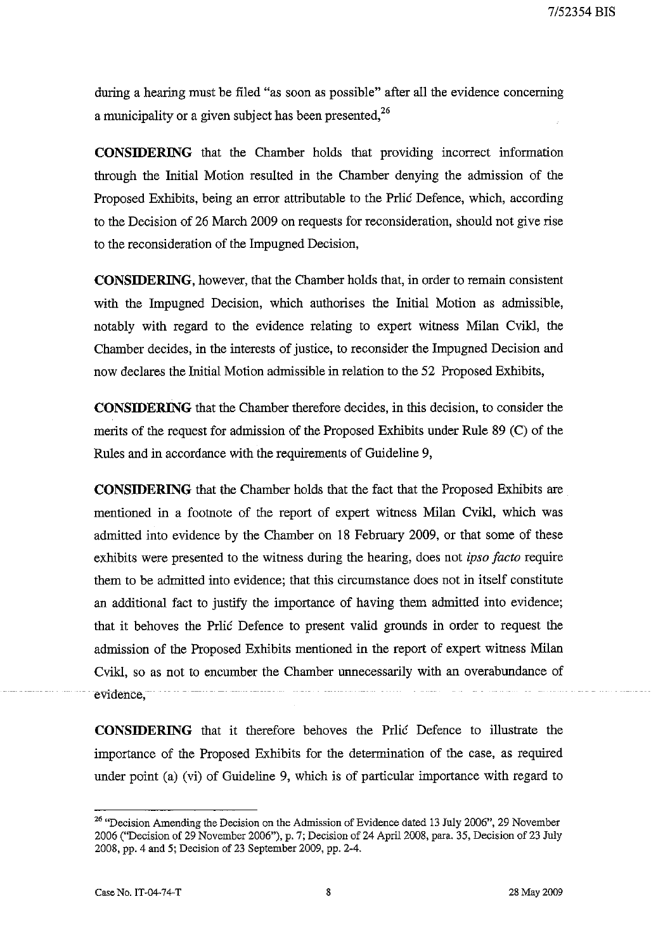during a hearing must be filed "as soon as possible" after all the evidence concerning a municipality or a given subject has been presented,<sup>26</sup>

**CONSIDERING** that the Chamber holds that providing incorrect information through the Initial Motion resulted in the Chamber denying the admission of the Proposed Exhibits, being an error attributable to the Prlic Defence, which, according to the Decision of 26 March 2009 on requests for reconsideration, should not give rise to the reconsideration of the Impugned Decision,

**CONSIDERING,** however, that the Chamber holds that, in order to remain consistent with the Impugned Decision, which authorises the Initial Motion as admissible, notably with regard to the evidence relating to expert witness Milan Cvikl, the Chamber decides, in the interests of justice, to reconsider the Impugned Decision and now declares the Initial Motion admissible in relation to the 52 Proposed Exhibits,

**CONSIDERING** that the Chamber therefore decides, in this decision, to consider the merits of the request for admission of the Proposed Exhibits under Rule 89 (C) of the Rules and in accordance with the requirements of Guideline 9,

**CONSIDERING** that the Chamber holds that the fact that the Proposed Exhibits are mentioned in a footnote of the report of expert witness Milan Cvikl, which was admitted into evidence by the Chamber on 18 February 2009, or that some of these exhibits were presented to the witness during the hearing, does not *ipso facto* require them to be admitted into evidence; that this circumstance does not in itself constitute an additional fact to justify the importance of having them adrnitted into evidence; that it behoves the Prlic Defence to present valid grounds in order to request the admission of the Proposed Exhibits mentioned in the report of expert wituess Milan Cvikl, so as not to encumber the Chamber unnecessarily with an overabundance of evidence.

**CONSIDERING** that it therefore behoves the Prlic Defence to illustrate the importance of the Proposed Exhibits for the determination of the case, as required under point (a) (vi) of Guideline 9, which is of particular importance with regard to

<sup>&</sup>lt;sup>26</sup> "Decision Amending the Decision on the Admission of Evidence dated 13 July 2006", 29 November 2006 ("Decision of 29 November 2006"), p. 7; Decision of 24 Apri12008, para. 35, Decision of 23 July 2008, pp. 4 and 5; Decision of 23 September 2009, pp. 2-4.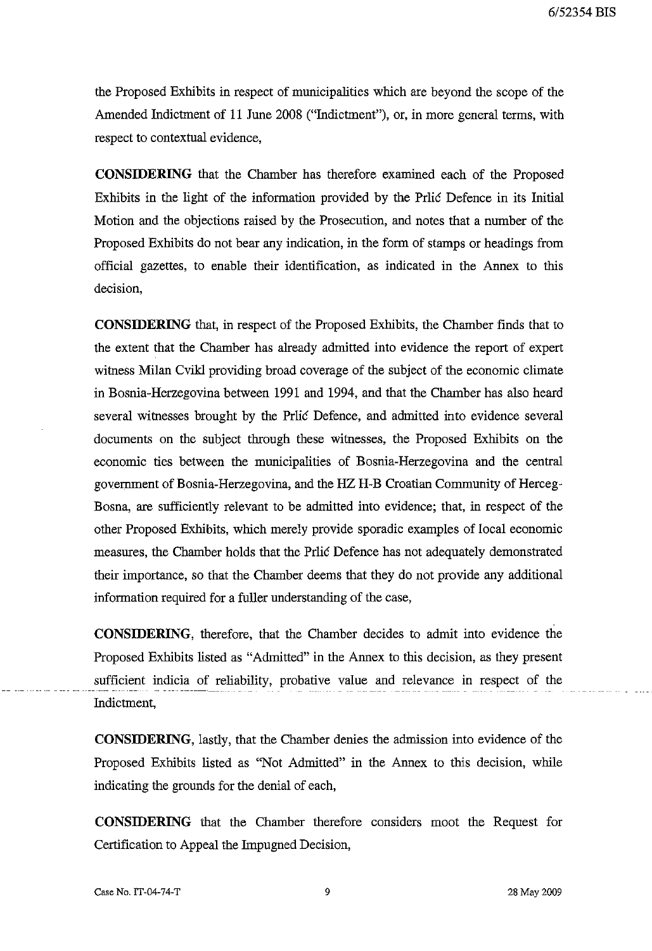the Proposed Exhibits in respect of municipalities which are beyond the scope of the Amended Indictment of 11 June 2008 ("Indictment"), or, in more general terms, with respect to contextual evidence,

**CONSIDERING** that the Chamber has therefore examined each of the Proposed Exhibits in the light of the information provided by the Prlic Defence in its Initial Motion and the objections raised by the Prosecution, and notes that a number of the Proposed Exhibits do not bear any indication, in the form of stamps or headings from official gazettes, to enable their identification, as indicated in the Annex to this decision,

**CONSIDERING** that, in respect of the Proposed Exhibits, the Chamber finds that to the extent that the Chamber has already admitted into evidence the report of expert witness Milan Cvikl providing broad coverage of the subject of the economic climate in Bosnia-Herzegovina between 1991 and 1994, and that the Chamber has also heard several witnesses brought by the Prlic Defence, and admitted into evidence several documents on the subject through these witnesses, the Proposed Exhibits on the economic ties between the municipalities of Bosnia-Herzegovina and the central government of Bosnia-Herzegovina, and the HZ H-B Croatian Community of Herceg-Bosna, are sufficiently relevant to be admitted into evidence; that, in respect of the other Proposed Exhibits, which merely provide sporadic examples of local economic measures, the Chamber holds that the Prlic Defence has not adequately demonstrated their importance, so that the Chamber deems that they do not provide any additional information required for a fuller understanding of the case,

**CONSIDERING,** therefore, that the Chamber decides to admit into evidence the Proposed Exhibits listed as "Admitted" in the Annex to this decision, as they present sufficient indicia of reliability, probative value and relevance in respect of the Indictment,

**CONSIDERING,** lastly, that the Chamber denies the admission into evidence of the Proposed Exhibits listed as "Not Admitted" in the Annex to this decision, while indicating the grounds for the denial of each,

**CONSIDERING** that the Chamber therefore considers moot the Request for Certification to Appeal the Impugned Decision,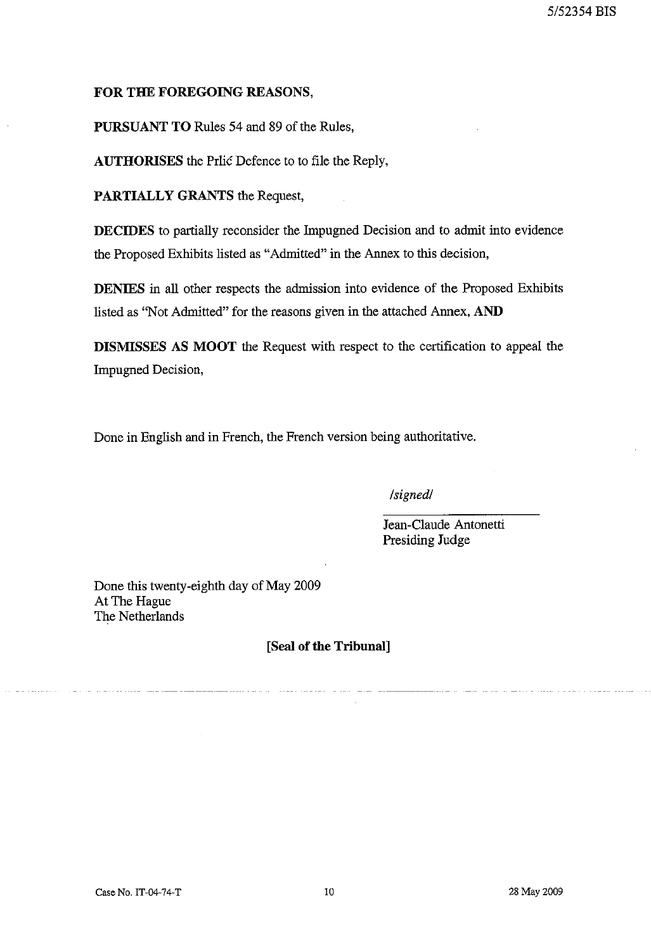## **FOR THE FOREGOING REASONS,**

**PURSUANT TO** Rules 54 and 89 of the Rules,

**AUTHORISES** the Prlic Defence to to file the Reply,

**PARTIALLY GRANTS** the Request,

**DECIDES** to partially reconsider the Impugned Decision and to admit into evidence the Proposed Exhibits listed as "Admitted" in the Annex to this decision,

**DENIES** in all other respects the admission into evidence of the Proposed Exhibits listed as "Not Admitted" for the reasons given in the attached Annex, **AND** 

**DISMISSES AS MOOT** the Request with respect to the certification to appeal the Impugned Decision,

Done in English and in French, the French version being authoritative.

*Isignedl* 

Jean-Claude Antonetti Presiding Judge

Done this twenty-eighth day of May 2009 At The Hague The Netherlands

**[Seal of the Tribunal]**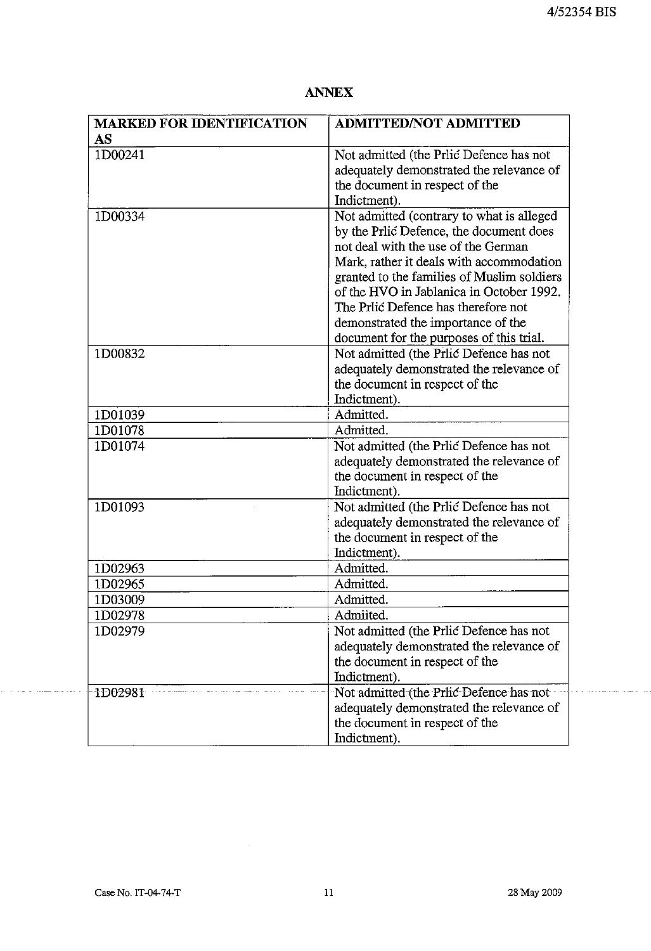| <b>MARKED FOR IDENTIFICATION</b>                                                                                      | <b>ADMITTED/NOT ADMITTED</b>                                                                                                                                                                                                                                                                                                                                                                                                                                                                                                                                                                                                                                                                                                                                                                                                                                              |
|-----------------------------------------------------------------------------------------------------------------------|---------------------------------------------------------------------------------------------------------------------------------------------------------------------------------------------------------------------------------------------------------------------------------------------------------------------------------------------------------------------------------------------------------------------------------------------------------------------------------------------------------------------------------------------------------------------------------------------------------------------------------------------------------------------------------------------------------------------------------------------------------------------------------------------------------------------------------------------------------------------------|
| AS                                                                                                                    |                                                                                                                                                                                                                                                                                                                                                                                                                                                                                                                                                                                                                                                                                                                                                                                                                                                                           |
| 1D00241                                                                                                               | Not admitted (the Prlic Defence has not                                                                                                                                                                                                                                                                                                                                                                                                                                                                                                                                                                                                                                                                                                                                                                                                                                   |
|                                                                                                                       | adequately demonstrated the relevance of                                                                                                                                                                                                                                                                                                                                                                                                                                                                                                                                                                                                                                                                                                                                                                                                                                  |
|                                                                                                                       | the document in respect of the                                                                                                                                                                                                                                                                                                                                                                                                                                                                                                                                                                                                                                                                                                                                                                                                                                            |
|                                                                                                                       | Indictment).                                                                                                                                                                                                                                                                                                                                                                                                                                                                                                                                                                                                                                                                                                                                                                                                                                                              |
| 1D00334                                                                                                               | Not admitted (contrary to what is alleged                                                                                                                                                                                                                                                                                                                                                                                                                                                                                                                                                                                                                                                                                                                                                                                                                                 |
|                                                                                                                       | by the Prlic Defence, the document does                                                                                                                                                                                                                                                                                                                                                                                                                                                                                                                                                                                                                                                                                                                                                                                                                                   |
|                                                                                                                       | not deal with the use of the German                                                                                                                                                                                                                                                                                                                                                                                                                                                                                                                                                                                                                                                                                                                                                                                                                                       |
|                                                                                                                       | Mark, rather it deals with accommodation                                                                                                                                                                                                                                                                                                                                                                                                                                                                                                                                                                                                                                                                                                                                                                                                                                  |
|                                                                                                                       | granted to the families of Muslim soldiers                                                                                                                                                                                                                                                                                                                                                                                                                                                                                                                                                                                                                                                                                                                                                                                                                                |
|                                                                                                                       | of the HVO in Jablanica in October 1992.                                                                                                                                                                                                                                                                                                                                                                                                                                                                                                                                                                                                                                                                                                                                                                                                                                  |
|                                                                                                                       | The Prlić Defence has therefore not                                                                                                                                                                                                                                                                                                                                                                                                                                                                                                                                                                                                                                                                                                                                                                                                                                       |
|                                                                                                                       |                                                                                                                                                                                                                                                                                                                                                                                                                                                                                                                                                                                                                                                                                                                                                                                                                                                                           |
|                                                                                                                       |                                                                                                                                                                                                                                                                                                                                                                                                                                                                                                                                                                                                                                                                                                                                                                                                                                                                           |
|                                                                                                                       |                                                                                                                                                                                                                                                                                                                                                                                                                                                                                                                                                                                                                                                                                                                                                                                                                                                                           |
|                                                                                                                       |                                                                                                                                                                                                                                                                                                                                                                                                                                                                                                                                                                                                                                                                                                                                                                                                                                                                           |
|                                                                                                                       |                                                                                                                                                                                                                                                                                                                                                                                                                                                                                                                                                                                                                                                                                                                                                                                                                                                                           |
|                                                                                                                       |                                                                                                                                                                                                                                                                                                                                                                                                                                                                                                                                                                                                                                                                                                                                                                                                                                                                           |
|                                                                                                                       |                                                                                                                                                                                                                                                                                                                                                                                                                                                                                                                                                                                                                                                                                                                                                                                                                                                                           |
|                                                                                                                       |                                                                                                                                                                                                                                                                                                                                                                                                                                                                                                                                                                                                                                                                                                                                                                                                                                                                           |
|                                                                                                                       |                                                                                                                                                                                                                                                                                                                                                                                                                                                                                                                                                                                                                                                                                                                                                                                                                                                                           |
|                                                                                                                       |                                                                                                                                                                                                                                                                                                                                                                                                                                                                                                                                                                                                                                                                                                                                                                                                                                                                           |
|                                                                                                                       |                                                                                                                                                                                                                                                                                                                                                                                                                                                                                                                                                                                                                                                                                                                                                                                                                                                                           |
|                                                                                                                       |                                                                                                                                                                                                                                                                                                                                                                                                                                                                                                                                                                                                                                                                                                                                                                                                                                                                           |
|                                                                                                                       |                                                                                                                                                                                                                                                                                                                                                                                                                                                                                                                                                                                                                                                                                                                                                                                                                                                                           |
|                                                                                                                       |                                                                                                                                                                                                                                                                                                                                                                                                                                                                                                                                                                                                                                                                                                                                                                                                                                                                           |
|                                                                                                                       |                                                                                                                                                                                                                                                                                                                                                                                                                                                                                                                                                                                                                                                                                                                                                                                                                                                                           |
|                                                                                                                       |                                                                                                                                                                                                                                                                                                                                                                                                                                                                                                                                                                                                                                                                                                                                                                                                                                                                           |
|                                                                                                                       |                                                                                                                                                                                                                                                                                                                                                                                                                                                                                                                                                                                                                                                                                                                                                                                                                                                                           |
|                                                                                                                       |                                                                                                                                                                                                                                                                                                                                                                                                                                                                                                                                                                                                                                                                                                                                                                                                                                                                           |
|                                                                                                                       |                                                                                                                                                                                                                                                                                                                                                                                                                                                                                                                                                                                                                                                                                                                                                                                                                                                                           |
|                                                                                                                       |                                                                                                                                                                                                                                                                                                                                                                                                                                                                                                                                                                                                                                                                                                                                                                                                                                                                           |
|                                                                                                                       |                                                                                                                                                                                                                                                                                                                                                                                                                                                                                                                                                                                                                                                                                                                                                                                                                                                                           |
|                                                                                                                       |                                                                                                                                                                                                                                                                                                                                                                                                                                                                                                                                                                                                                                                                                                                                                                                                                                                                           |
|                                                                                                                       |                                                                                                                                                                                                                                                                                                                                                                                                                                                                                                                                                                                                                                                                                                                                                                                                                                                                           |
|                                                                                                                       |                                                                                                                                                                                                                                                                                                                                                                                                                                                                                                                                                                                                                                                                                                                                                                                                                                                                           |
|                                                                                                                       |                                                                                                                                                                                                                                                                                                                                                                                                                                                                                                                                                                                                                                                                                                                                                                                                                                                                           |
|                                                                                                                       |                                                                                                                                                                                                                                                                                                                                                                                                                                                                                                                                                                                                                                                                                                                                                                                                                                                                           |
|                                                                                                                       |                                                                                                                                                                                                                                                                                                                                                                                                                                                                                                                                                                                                                                                                                                                                                                                                                                                                           |
| 1D00832<br>1D01039<br>1D01078<br>1D01074<br>1D01093<br>1D02963<br>1D02965<br>1D03009<br>1D02978<br>1D02979<br>1D02981 | demonstrated the importance of the<br>document for the purposes of this trial.<br>Not admitted (the Prlic Defence has not<br>adequately demonstrated the relevance of<br>the document in respect of the<br>Indictment).<br>Admitted.<br>Admitted.<br>Not admitted (the Prlic Defence has not<br>adequately demonstrated the relevance of<br>the document in respect of the<br>Indictment).<br>Not admitted (the Prlic Defence has not<br>adequately demonstrated the relevance of<br>the document in respect of the<br>Indictment).<br>Admitted.<br>Admitted.<br>Admitted.<br>Admiited.<br>Not admitted (the Prlic Defence has not<br>adequately demonstrated the relevance of<br>the document in respect of the<br>Indictment).<br>Not admitted (the Prlic Defence has not<br>adequately demonstrated the relevance of<br>the document in respect of the<br>Indictment). |

. . . . . . . . . . . . . . . . . . .

بناء وسافر سروس ووزورة

 $\sim$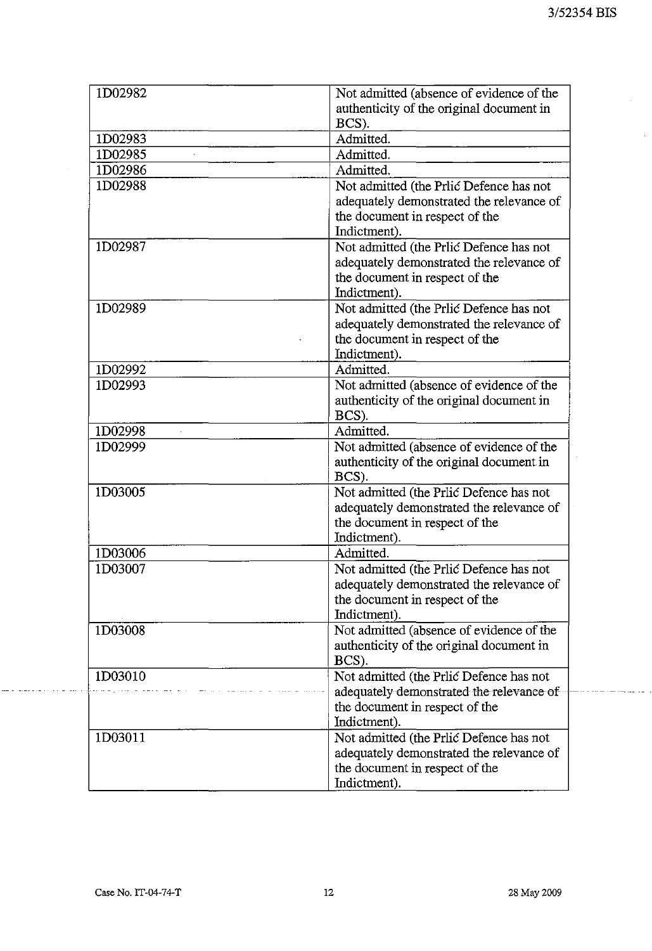$\hat{\mathcal{L}}$ 

 $\sim$ 

| 1D02982 | Not admitted (absence of evidence of the |
|---------|------------------------------------------|
|         | authenticity of the original document in |
|         | BCS).                                    |
| 1D02983 | Admitted.                                |
| 1D02985 | Admitted.                                |
| 1D02986 | Admitted.                                |
| 1D02988 | Not admitted (the Priic Defence has not  |
|         | adequately demonstrated the relevance of |
|         | the document in respect of the           |
|         | Indictment).                             |
| 1D02987 | Not admitted (the Prlic Defence has not  |
|         | adequately demonstrated the relevance of |
|         | the document in respect of the           |
|         | Indictment).                             |
| 1D02989 | Not admitted (the Prlic Defence has not  |
|         | adequately demonstrated the relevance of |
|         | the document in respect of the           |
|         | Indictment).                             |
| 1D02992 | Admitted.                                |
| 1D02993 | Not admitted (absence of evidence of the |
|         | authenticity of the original document in |
|         | BCS).                                    |
| 1D02998 | Admitted.                                |
| 1D02999 | Not admitted (absence of evidence of the |
|         | authenticity of the original document in |
|         | BCS).                                    |
| 1D03005 | Not admitted (the Prlic Defence has not  |
|         | adequately demonstrated the relevance of |
|         | the document in respect of the           |
|         | Indictment).                             |
| 1D03006 | Admitted.                                |
| 1D03007 | Not admitted (the Prlic Defence has not  |
|         | adequately demonstrated the relevance of |
|         | the document in respect of the           |
|         | Indictment).                             |
| 1D03008 | Not admitted (absence of evidence of the |
|         | authenticity of the original document in |
|         | BCS).                                    |
| 1D03010 | Not admitted (the Prlic Defence has not  |
|         | adequately demonstrated the relevance of |
|         | the document in respect of the           |
|         | Indictment).                             |
| 1D03011 | Not admitted (the Prlic Defence has not  |
|         | adequately demonstrated the relevance of |
|         | the document in respect of the           |
|         | Indictment).                             |

 $\mathcal{L}_{\mathcal{A}}$ 

والموالي والرواب والتواصير والمتر

. . . . . . . . . . . . . . .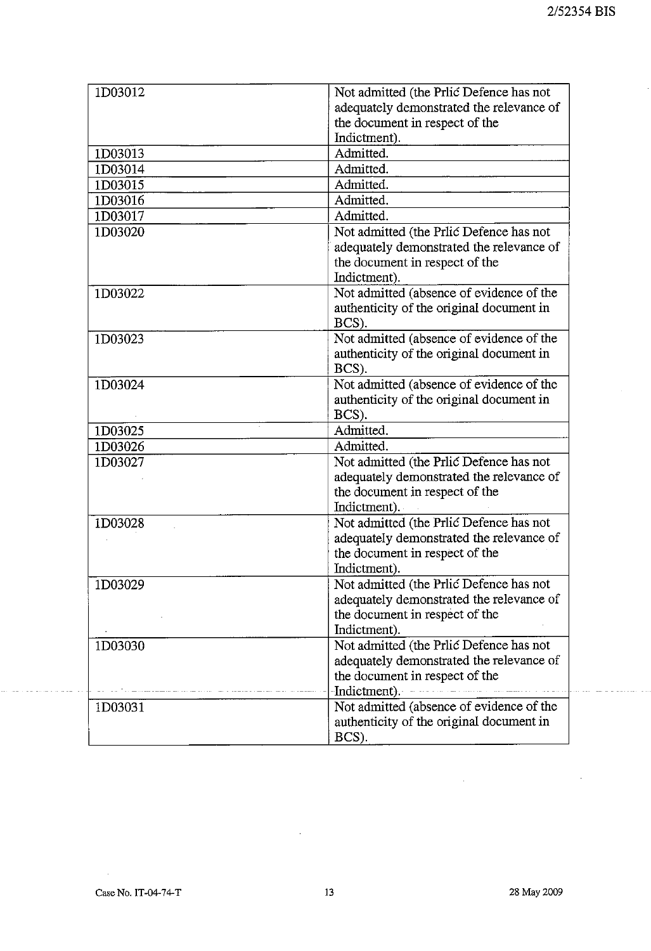| 1D03012 | Not admitted (the Prlic Defence has not  |
|---------|------------------------------------------|
|         | adequately demonstrated the relevance of |
|         | the document in respect of the           |
|         | Indictment).                             |
| 1D03013 | Admitted.                                |
| 1D03014 | Admitted.                                |
| 1D03015 | Admitted.                                |
| 1D03016 | Admitted.                                |
| 1D03017 | Admitted.                                |
| 1D03020 | Not admitted (the Prlic Defence has not  |
|         | adequately demonstrated the relevance of |
|         | the document in respect of the           |
|         | Indictment).                             |
| 1D03022 | Not admitted (absence of evidence of the |
|         | authenticity of the original document in |
|         | BCS).                                    |
| 1D03023 | Not admitted (absence of evidence of the |
|         | authenticity of the original document in |
|         | BCS).                                    |
| 1D03024 | Not admitted (absence of evidence of the |
|         | authenticity of the original document in |
|         | BCS).                                    |
| 1D03025 | Admitted.                                |
| 1D03026 | Admitted.                                |
| 1D03027 | Not admitted (the Prlic Defence has not  |
|         | adequately demonstrated the relevance of |
|         | the document in respect of the           |
|         | Indictment).                             |
| 1D03028 | Not admitted (the Prlic Defence has not  |
|         | adequately demonstrated the relevance of |
|         | the document in respect of the           |
|         | Indictment).                             |
| 1D03029 | Not admitted (the Prlic Defence has not  |
|         | adequately demonstrated the relevance of |
|         | the document in respect of the           |
|         | Indictment).                             |
| 1D03030 | Not admitted (the Prlic Defence has not  |
|         | adequately demonstrated the relevance of |
|         | the document in respect of the           |
|         | Indictment).                             |
| 1D03031 | Not admitted (absence of evidence of the |
|         | authenticity of the original document in |
|         | BCS).                                    |

 $\mathcal{L}$ 

لكا الموالي المراكب الموارد المواردة

 $\hat{\mathcal{A}}$ 

الترويات والواقف المو

 $\ddot{\phantom{a}}$ 

 $\bar{\mathcal{L}}$ 

 $\sim$